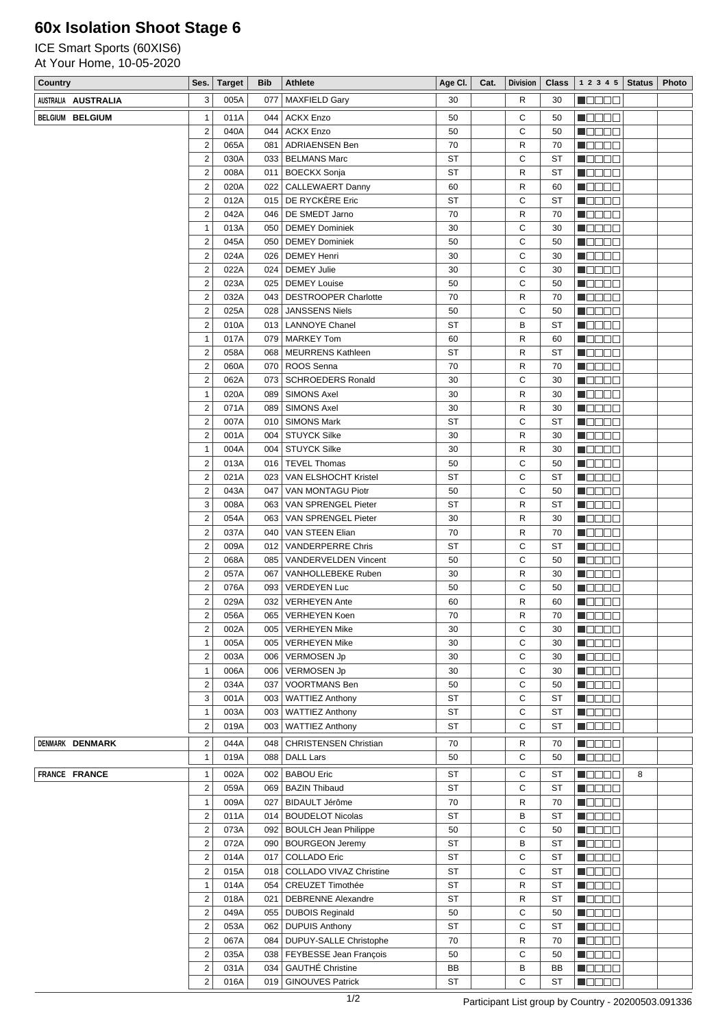## **60x Isolation Shoot Stage 6**

ICE Smart Sports (60XIS6) At Your Home, 10-05-2020

| Country             | Ses.                                    | <b>Target</b> | Bib | <b>Athlete</b>                                       | Age CI.   | Cat. | <b>Division</b> | <b>Class</b> | $1\ 2\ 3\ 4\ 5$ Status                       |   | Photo |
|---------------------|-----------------------------------------|---------------|-----|------------------------------------------------------|-----------|------|-----------------|--------------|----------------------------------------------|---|-------|
| AUSTRALIA AUSTRALIA | 3                                       | 005A          | 077 | <b>MAXFIELD Gary</b>                                 | 30        |      | R               | 30           | n de de                                      |   |       |
| BELGIUM BELGIUM     | $\mathbf{1}$                            | 011A          | 044 | ACKX Enzo                                            | 50        |      | C               | 50           | <b>M</b> OOOO                                |   |       |
|                     | $\overline{\mathbf{c}}$                 | 040A          |     | 044   ACKX Enzo                                      | 50        |      | С               | 50           | M O O O O                                    |   |       |
|                     | $\mathbf 2$                             | 065A          | 081 | ADRIAENSEN Ben                                       | 70        |      | R               | 70           | <b>M</b> OOOO                                |   |       |
|                     | $\overline{2}$                          | 030A          |     | 033   BELMANS Marc                                   | <b>ST</b> |      | С               | ST           | <b>M</b> ODOO                                |   |       |
|                     | $\overline{2}$                          | 008A          |     | 011   BOECKX Sonja                                   | <b>ST</b> |      | R               | ST           | $\blacksquare$ $\square$ $\square$ $\square$ |   |       |
|                     | $\overline{2}$                          | 020A          |     | 022   CALLEWAERT Danny                               | 60        |      | R               | 60           | M O O O O                                    |   |       |
|                     | $\overline{\mathbf{c}}$                 | 012A          |     | 015   DE RYCKERE Eric                                | <b>ST</b> |      | С               | ST           | MOOOO                                        |   |       |
|                     | $\overline{\mathbf{c}}$                 | 042A          |     | 046   DE SMEDT Jarno                                 | 70        |      | R               | 70           | N O D O O                                    |   |       |
|                     | $\mathbf{1}$                            | 013A          |     | 050   DEMEY Dominiek                                 | 30        |      | C               | 30           | $\blacksquare$                               |   |       |
|                     | $\overline{2}$                          | 045A          |     | 050   DEMEY Dominiek                                 | 50        |      | C               | 50           | M O O O O                                    |   |       |
|                     | $\overline{\mathbf{c}}$                 | 024A          |     | 026   DEMEY Henri                                    | 30        |      | С               | 30           | MOODE                                        |   |       |
|                     | $\boldsymbol{2}$                        | 022A          |     | 024   DEMEY Julie                                    | 30        |      | C               | 30           | <b>Mana</b> o                                |   |       |
|                     | $\overline{2}$                          | 023A          | 025 | <b>DEMEY Louise</b>                                  | 50        |      | С               | 50           | $\blacksquare$ $\square$ $\square$ $\square$ |   |       |
|                     | $\overline{2}$                          | 032A          |     | 043   DESTROOPER Charlotte                           | 70        |      | R               | 70           | M O O O O                                    |   |       |
|                     | $\overline{2}$                          | 025A          |     | 028   JANSSENS Niels                                 | 50        |      | С               | 50           | MOOOO                                        |   |       |
|                     | $\mathbf 2$                             | 010A          |     | 013   LANNOYE Chanel                                 | <b>ST</b> |      | B               | ST           | <b>Mana</b> o                                |   |       |
|                     | $\mathbf{1}$                            | 017A          |     | 079   MARKEY Tom                                     | 60        |      | R               | 60           | N OB OB                                      |   |       |
|                     | $\overline{2}$                          | 058A          |     | 068   MEURRENS Kathleen                              | <b>ST</b> |      | R               | <b>ST</b>    | HOOOO                                        |   |       |
|                     | $\overline{2}$                          | 060A          |     | 070   ROOS Senna                                     | 70        |      | R               | 70           | n oo oo a                                    |   |       |
|                     | $\overline{2}$                          | 062A          |     | 073   SCHROEDERS Ronald                              | 30        |      | С               | 30           | N O D O O                                    |   |       |
|                     | $\mathbf{1}$                            | 020A          |     | 089   SIMONS Axel                                    | 30        |      | R               | 30           | $\blacksquare$ $\square$ $\square$ $\square$ |   |       |
|                     | $\overline{2}$                          | 071A          | 089 | <b>SIMONS Axel</b>                                   | 30        |      | R               | 30           | M OD O O                                     |   |       |
|                     | $\overline{2}$                          | 007A          | 010 | SIMONS Mark                                          | <b>ST</b> |      | С               | ST           | NOOOO                                        |   |       |
|                     | $\overline{2}$                          | 001A          |     | 004   STUYCK Silke                                   | 30        |      | R               | 30           | <b>Mana</b> o                                |   |       |
|                     | $\overline{1}$                          | 004A          |     | 004   STUYCK Silke                                   | 30        |      | R               | 30           | $\blacksquare$ $\square$ $\square$ $\square$ |   |       |
|                     | $\boldsymbol{2}$                        | 013A          |     | 016   TEVEL Thomas                                   | 50        |      | C               | 50           | M O O O O                                    |   |       |
|                     | $\overline{2}$                          | 021A          |     | 023   VAN ELSHOCHT Kristel                           | <b>ST</b> |      | С               | <b>ST</b>    | MOOOO                                        |   |       |
|                     | $\overline{2}$                          | 043A          | 047 | VAN MONTAGU Piotr                                    | 50        |      | C               | 50           | <b>M</b> OOOO                                |   |       |
|                     | 3                                       | 008A          |     | 063   VAN SPRENGEL Pieter                            | <b>ST</b> |      | R               | ST           | $\blacksquare$ $\square$ $\square$ $\square$ |   |       |
|                     | $\boldsymbol{2}$                        | 054A          | 063 | VAN SPRENGEL Pieter                                  | 30        |      | R               | 30           | M O O O O                                    |   |       |
|                     | $\overline{\mathbf{c}}$                 | 037A          | 040 | VAN STEEN Elian                                      | 70        |      | R               | 70           | MOOOO                                        |   |       |
|                     | $\overline{2}$                          | 009A          | 012 | <b>VANDERPERRE Chris</b>                             | <b>ST</b> |      | С               | ST           | <b>MODOO</b>                                 |   |       |
|                     | $\overline{2}$                          | 068A          |     | 085   VANDERVELDEN Vincent                           | 50        |      | C               | 50           | $\blacksquare$ $\square$ $\square$ $\square$ |   |       |
|                     | $\boldsymbol{2}$                        | 057A          | 067 | VANHOLLEBEKE Ruben                                   | 30        |      | R               | 30           | M OD O O                                     |   |       |
|                     | $\boldsymbol{2}$                        | 076A          |     | 093   VERDEYEN Luc                                   | 50        |      | C               | 50           | MOOOO                                        |   |       |
|                     | 2                                       | 029A          | 032 | <b>VERHEYEN Ante</b>                                 | 60        |      | R               | 60           | <b>MODOO</b>                                 |   |       |
|                     | $\overline{2}$                          | 056A          |     | 065   VERHEYEN Koen                                  | 70        |      | R               | 70           | n de de                                      |   |       |
|                     | $\overline{\mathbf{c}}$                 | 002A          | 005 | <b>VERHEYEN Mike</b>                                 | 30        |      | С<br>C          | 30           | MOOOO                                        |   |       |
|                     | $\mathbf{1}$                            | 005A          |     | 005   VERHEYEN Mike                                  | 30        |      |                 | 30           | MOOOO<br>n da da                             |   |       |
|                     | $\overline{\mathbf{c}}$<br>$\mathbf{1}$ | 003A<br>006A  |     | 006   VERMOSEN Jp<br>006   VERMOSEN Jp               | 30<br>30  |      | C<br>C          | 30<br>30     | $\blacksquare$ $\square$ $\square$ $\square$ |   |       |
|                     | $\overline{2}$                          | 034A          | 037 | <b>VOORTMANS Ben</b>                                 | 50        |      | C               | 50           | M OO OO                                      |   |       |
|                     | 3                                       | 001A          |     | 003   WATTIEZ Anthony                                | <b>ST</b> |      | С               | <b>ST</b>    | MOOOO                                        |   |       |
|                     | $\mathbf{1}$                            | 003A          |     | 003   WATTIEZ Anthony                                | <b>ST</b> |      | C               | <b>ST</b>    | <b>M</b> OOOO                                |   |       |
|                     | $\overline{c}$                          | 019A          |     | 003   WATTIEZ Anthony                                | ST        |      | С               | ST           | HOOOO                                        |   |       |
|                     |                                         |               |     |                                                      |           |      |                 |              |                                              |   |       |
| DENMARK DENMARK     | $\boldsymbol{2}$                        | 044A          |     | 048   CHRISTENSEN Christian                          | 70        |      | R               | 70           | N DE BE                                      |   |       |
|                     | $\overline{1}$                          | 019A          |     | 088   DALL Lars                                      | 50        |      | С               | 50           | <b>M</b> OOOO                                |   |       |
| FRANCE FRANCE       | $\mathbf{1}$                            | 002A          |     | 002   BABOU Eric                                     | <b>ST</b> |      | С               | ST           | n da aa                                      | 8 |       |
|                     | $\overline{\mathbf{c}}$                 | 059A          |     | 069   BAZIN Thibaud                                  | ST        |      | С               | ST           | M DO DO                                      |   |       |
|                     | $\mathbf{1}$                            | 009A          | 027 | BIDAULT Jérôme                                       | 70        |      | R               | 70           | Maaaa                                        |   |       |
|                     | $\overline{2}$                          | 011A          |     | 014   BOUDELOT Nicolas                               | <b>ST</b> |      | B               | ST           | <b>REBEE</b>                                 |   |       |
|                     | $\overline{2}$                          | 073A          |     | 092   BOULCH Jean Philippe                           | 50        |      | C               | 50           | $\blacksquare$ $\square$ $\square$ $\square$ |   |       |
|                     | $\overline{2}$                          | 072A          |     | 090   BOURGEON Jeremy                                | <b>ST</b> |      | B               | <b>ST</b>    | <b>M</b> ODOO                                |   |       |
|                     | $\overline{2}$                          | 014A          | 017 | COLLADO Eric                                         | <b>ST</b> |      | С               | <b>ST</b>    | <b>M</b> ODOO                                |   |       |
|                     | $\boldsymbol{2}$                        | 015A          |     | 018   COLLADO VIVAZ Christine                        | <b>ST</b> |      | C               | <b>ST</b>    | N O O O O                                    |   |       |
|                     | $\mathbf{1}$                            | 014A          |     | 054   CREUZET Timothée                               | ST        |      | R               | ST           | <b>MODOO</b>                                 |   |       |
|                     | $\overline{2}$                          | 018A          | 021 | <b>DEBRENNE Alexandre</b>                            | <b>ST</b> |      | R               | ST           | <b>M</b> ODOO                                |   |       |
|                     | $\overline{2}$<br>$\overline{c}$        | 049A          |     | 055   DUBOIS Reginald                                | 50<br>ST  |      | С<br>С          | 50<br>ST     | Maaaa<br><b>M</b> OOOO                       |   |       |
|                     | $\boldsymbol{2}$                        | 053A          |     | 062   DUPUIS Anthony                                 |           |      |                 |              |                                              |   |       |
|                     | $\boldsymbol{2}$                        | 067A<br>035A  |     | 084   DUPUY-SALLE Christophe                         | 70<br>50  |      | R<br>С          | 70<br>50     | <b>REBEE</b><br><b>M</b> ODOO                |   |       |
|                     | $\boldsymbol{2}$                        | 031A          |     | 038   FEYBESSE Jean François<br>034 GAUTHÉ Christine | BB        |      | B               | BB           | M OO OO                                      |   |       |
|                     | $\overline{2}$                          | 016A          |     | 019   GINOUVES Patrick                               | <b>ST</b> |      | C               | ST           | <b>REGEE</b>                                 |   |       |